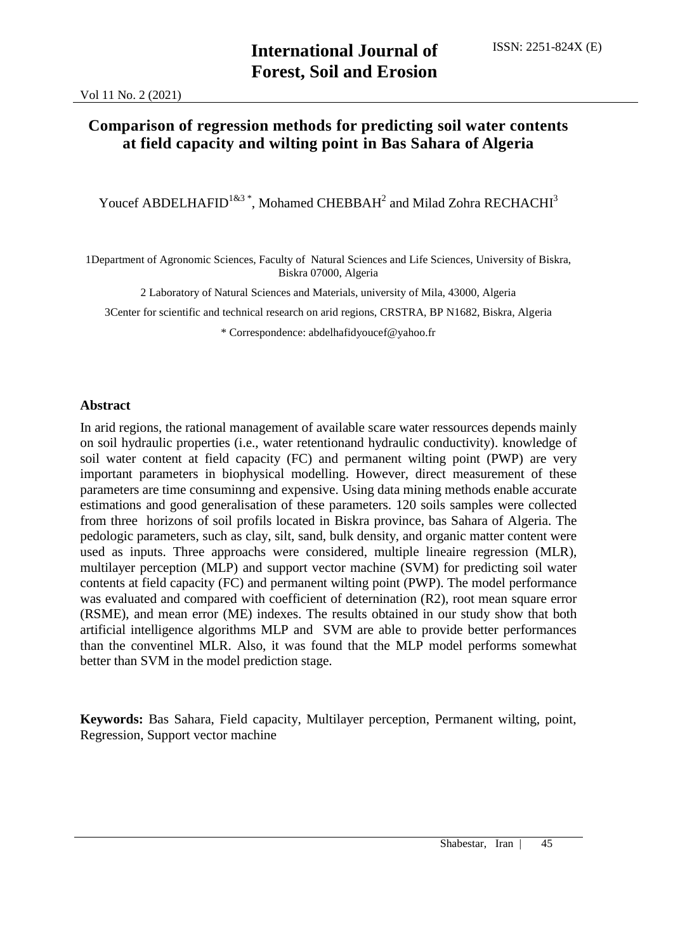#### **Comparison of regression methods for predicting soil water contents at field capacity and wilting point in Bas Sahara of Algeria**

Youcef ABDELHAFID<sup>1&3\*</sup>, Mohamed CHEBBAH<sup>2</sup> and Milad Zohra RECHACHI<sup>3</sup>

1Department of Agronomic Sciences, Faculty of Natural Sciences and Life Sciences, University of Biskra, Biskra 07000, Algeria

2 Laboratory of Natural Sciences and Materials, university of Mila, 43000, Algeria

3Center for scientific and technical research on arid regions, CRSTRA, BP N1682, Biskra, Algeria

\* Correspondence: [abdelhafidyoucef@yahoo.fr](mailto:abdelhafidyoucef@yahoo.fr)

#### **Abstract**

In arid regions, the rational management of available scare water ressources depends mainly on soil hydraulic properties (i.e., water retentionand hydraulic conductivity). knowledge of soil water content at field capacity (FC) and permanent wilting point (PWP) are very important parameters in biophysical modelling. However, direct measurement of these parameters are time consuminng and expensive. Using data mining methods enable accurate estimations and good generalisation of these parameters. 120 soils samples were collected from three horizons of soil profils located in Biskra province, bas Sahara of Algeria. The pedologic parameters, such as clay, silt, sand, bulk density, and organic matter content were used as inputs. Three approachs were considered, multiple lineaire regression (MLR), multilayer perception (MLP) and support vector machine (SVM) for predicting soil water contents at field capacity (FC) and permanent wilting point (PWP). The model performance was evaluated and compared with coefficient of deternination (R2), root mean square error (RSME), and mean error (ME) indexes. The results obtained in our study show that both artificial intelligence algorithms MLP and SVM are able to provide better performances than the conventinel MLR. Also, it was found that the MLP model performs somewhat better than SVM in the model prediction stage.

**Keywords:** Bas Sahara, Field capacity, Multilayer perception, Permanent wilting, point, Regression, Support vector machine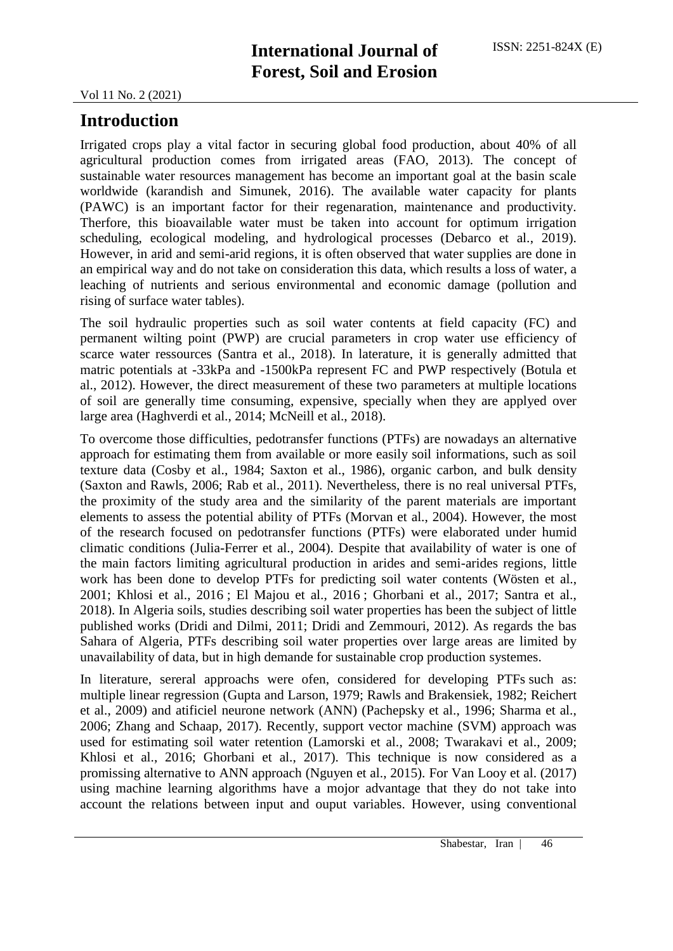#### **Introduction**

Irrigated crops play a vital factor in securing global food production, about 40% of all agricultural production comes from irrigated areas (FAO, 2013). The concept of sustainable water resources management has become an important goal at the basin scale worldwide (karandish and Simunek, 2016). The available water capacity for plants (PAWC) is an important factor for their regenaration, maintenance and productivity. Therfore, this bioavailable water must be taken into account for optimum irrigation scheduling, ecological modeling, and hydrological processes (Debarco et al., 2019). However, in arid and semi-arid regions, it is often observed that water supplies are done in an empirical way and do not take on consideration this data, which results a loss of water, a leaching of nutrients and serious environmental and economic damage (pollution and rising of surface water tables).

The soil hydraulic properties such as soil water contents at field capacity (FC) and permanent wilting point (PWP) are crucial parameters in crop water use efficiency of scarce water ressources (Santra et al., 2018). In laterature, it is generally admitted that matric potentials at -33kPa and -1500kPa represent FC and PWP respectively (Botula et al., 2012). However, the direct measurement of these two parameters at multiple locations of soil are generally time consuming, expensive, specially when they are applyed over large area (Haghverdi et al., 2014; McNeill et al., 2018).

To overcome those difficulties, pedotransfer functions (PTFs) are nowadays an alternative approach for estimating them from available or more easily soil informations, such as soil texture data (Cosby et al., 1984; Saxton et al., 1986), organic carbon, and bulk density (Saxton and Rawls, 2006; Rab et al., 2011). Nevertheless, there is no real universal PTFs, the proximity of the study area and the similarity of the parent materials are important elements to assess the potential ability of PTFs (Morvan et al., 2004). However, the most of the research focused on pedotransfer functions (PTFs) were elaborated under humid climatic conditions (Julia-Ferrer et al., 2004). Despite that availability of water is one of the main factors limiting agricultural production in arides and semi-arides regions, little work has been done to develop PTFs for predicting soil water contents (Wösten et al., 2001; Khlosi et al., 2016 ; El Majou et al., 2016 ; Ghorbani et al., 2017; Santra et al., 2018). In Algeria soils, studies describing soil water properties has been the subject of little published works (Dridi and Dilmi, 2011; Dridi and Zemmouri, 2012). As regards the bas Sahara of Algeria, PTFs describing soil water properties over large areas are limited by unavailability of data, but in high demande for sustainable crop production systemes.

In literature, sereral approachs were ofen, considered for developing PTFs such as: multiple linear regression (Gupta and Larson, 1979; Rawls and Brakensiek, 1982; Reichert et al., 2009) and atificiel neurone network (ANN) (Pachepsky et al., 1996; Sharma et al., 2006; Zhang and Schaap, 2017). Recently, support vector machine (SVM) approach was used for estimating soil water retention (Lamorski et al., 2008; Twarakavi et al., 2009; Khlosi et al., 2016; Ghorbani et al., 2017). This technique is now considered as a promissing alternative to ANN approach (Nguyen et al., 2015). For Van Looy et al. (2017) using machine learning algorithms have a mojor advantage that they do not take into account the relations between input and ouput variables. However, using conventional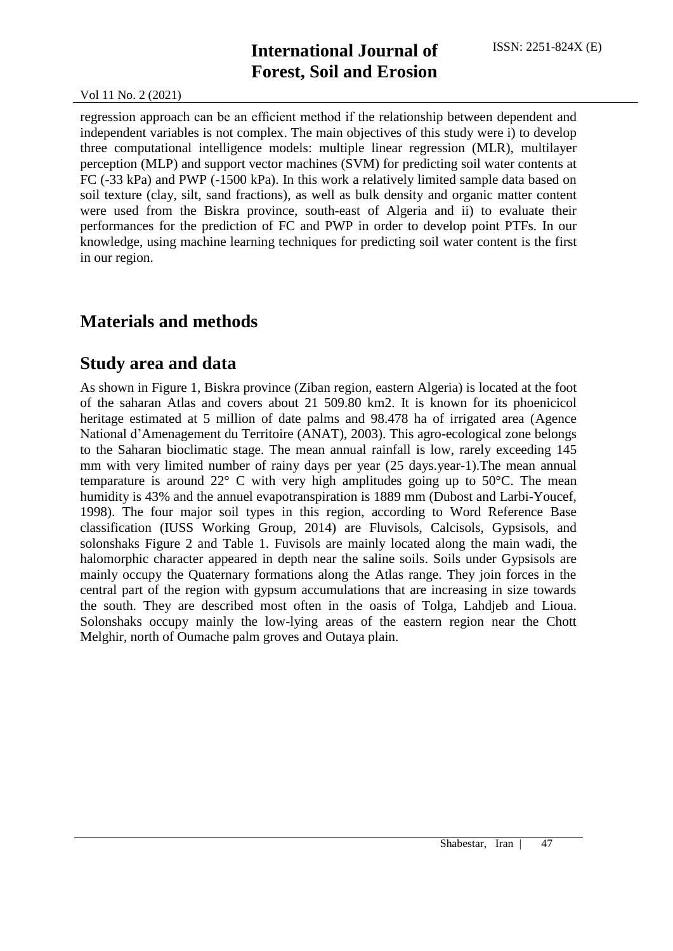Vol 11 No. 2 (2021)

regression approach can be an efficient method if the relationship between dependent and independent variables is not complex. The main objectives of this study were i) to develop three computational intelligence models: multiple linear regression (MLR), multilayer perception (MLP) and support vector machines (SVM) for predicting soil water contents at FC (-33 kPa) and PWP (-1500 kPa). In this work a relatively limited sample data based on soil texture (clay, silt, sand fractions), as well as bulk density and organic matter content were used from the Biskra province, south-east of Algeria and ii) to evaluate their performances for the prediction of FC and PWP in order to develop point PTFs. In our knowledge, using machine learning techniques for predicting soil water content is the first in our region.

#### **Materials and methods**

#### **Study area and data**

As shown in Figure 1, Biskra province (Ziban region, eastern Algeria) is located at the foot of the saharan Atlas and covers about 21 509.80 km2. It is known for its phoenicicol heritage estimated at 5 million of date palms and 98.478 ha of irrigated area (Agence National d'Amenagement du Territoire (ANAT), 2003). This agro-ecological zone belongs to the Saharan bioclimatic stage. The mean annual rainfall is low, rarely exceeding 145 mm with very limited number of rainy days per year (25 days.year-1).The mean annual temparature is around  $22^{\circ}$  C with very high amplitudes going up to  $50^{\circ}$ C. The mean humidity is 43% and the annuel evapotranspiration is 1889 mm (Dubost and Larbi-Youcef, 1998). The four major soil types in this region, according to Word Reference Base classification (IUSS Working Group, 2014) are Fluvisols, Calcisols, Gypsisols, and solonshaks Figure 2 and Table 1. Fuvisols are mainly located along the main wadi, the halomorphic character appeared in depth near the saline soils. Soils under Gypsisols are mainly occupy the Quaternary formations along the Atlas range. They join forces in the central part of the region with gypsum accumulations that are increasing in size towards the south. They are described most often in the oasis of Tolga, Lahdjeb and Lioua. Solonshaks occupy mainly the low-lying areas of the eastern region near the Chott Melghir, north of Oumache palm groves and Outaya plain.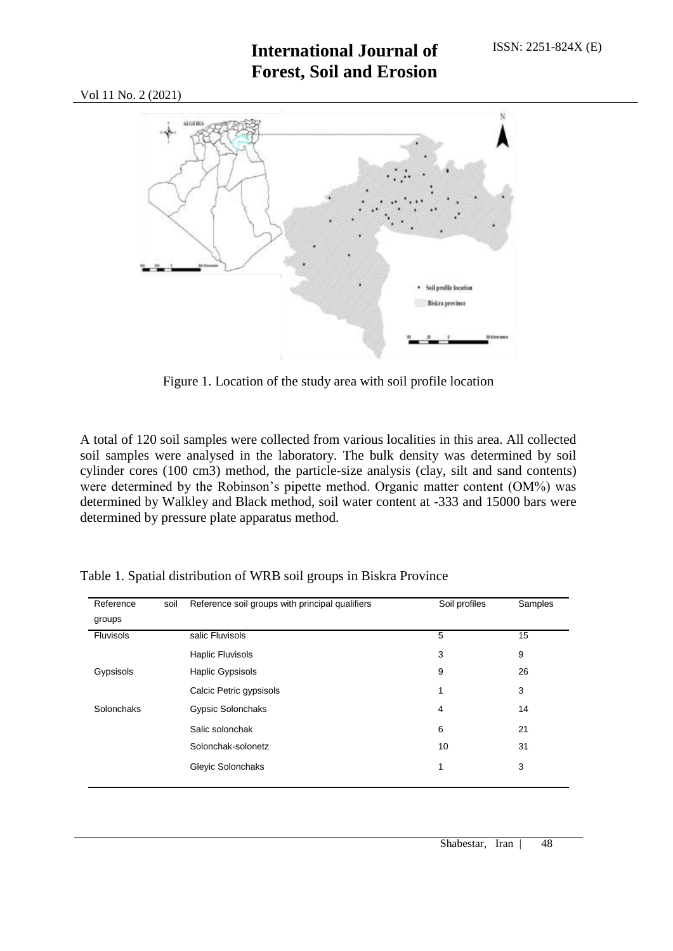Vol 11 No. 2 (2021)



Figure 1. Location of the study area with soil profile location

A total of 120 soil samples were collected from various localities in this area. All collected soil samples were analysed in the laboratory. The bulk density was determined by soil cylinder cores (100 cm3) method, the particle-size analysis (clay, silt and sand contents) were determined by the Robinson's pipette method. Organic matter content (OM%) was determined by Walkley and Black method, soil water content at -333 and 15000 bars were determined by pressure plate apparatus method.

| Reference        | soil | Reference soil groups with principal qualifiers | Soil profiles | Samples |
|------------------|------|-------------------------------------------------|---------------|---------|
| groups           |      |                                                 |               |         |
| <b>Fluvisols</b> |      | salic Fluvisols                                 | 5             | 15      |
|                  |      | <b>Haplic Fluvisols</b>                         | 3             | 9       |
| Gypsisols        |      | <b>Haplic Gypsisols</b>                         | 9             | 26      |
|                  |      | Calcic Petric gypsisols                         | 1             | 3       |
| Solonchaks       |      | Gypsic Solonchaks                               | 4             | 14      |
|                  |      | Salic solonchak                                 | 6             | 21      |
|                  |      | Solonchak-solonetz                              | 10            | 31      |
|                  |      | Glevic Solonchaks                               | 1             | 3       |
|                  |      |                                                 |               |         |

Table 1. Spatial distribution of WRB soil groups in Biskra Province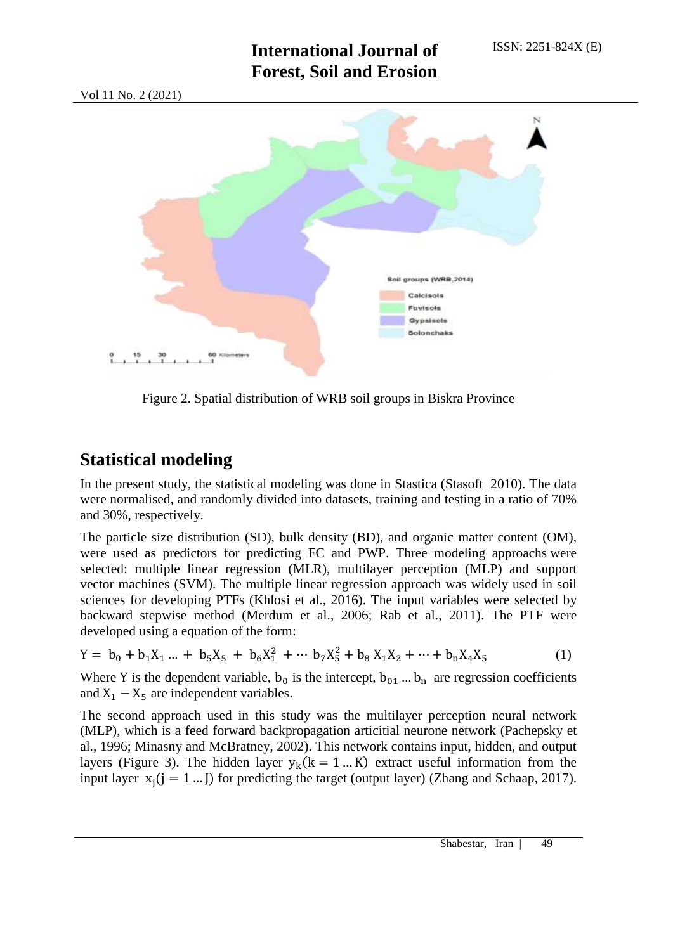

Figure 2. Spatial distribution of WRB soil groups in Biskra Province

#### **Statistical modeling**

In the present study, the statistical modeling was done in Stastica (Stasoft 2010). The data were normalised, and randomly divided into datasets, training and testing in a ratio of 70% and 30%, respectively.

The particle size distribution (SD), bulk density (BD), and organic matter content (OM), were used as predictors for predicting FC and PWP. Three modeling approachs were selected: multiple linear regression (MLR), multilayer perception (MLP) and support vector machines (SVM). The multiple linear regression approach was widely used in soil sciences for developing PTFs (Khlosi et al., 2016). The input variables were selected by backward stepwise method (Merdum et al., 2006; Rab et al., 2011). The PTF were developed using a equation of the form:

$$
Y = b_0 + b_1 X_1 ... + b_5 X_5 + b_6 X_1^2 + ... b_7 X_5^2 + b_8 X_1 X_2 + ... + b_n X_4 X_5
$$
 (1)

Where Y is the dependent variable,  $b_0$  is the intercept,  $b_{01}$  ...  $b_n$  are regression coefficients and  $X_1 - X_5$  are independent variables.

The second approach used in this study was the multilayer perception neural network (MLP), which is a feed forward backpropagation articitial neurone network (Pachepsky et al., 1996; Minasny and McBratney, 2002). This network contains input, hidden, and output layers (Figure 3). The hidden layer  $y_k$ ( $k = 1...K$ ) extract useful information from the input layer  $x_i$ ( $j = 1$ ...) for predicting the target (output layer) (Zhang and Schaap, 2017).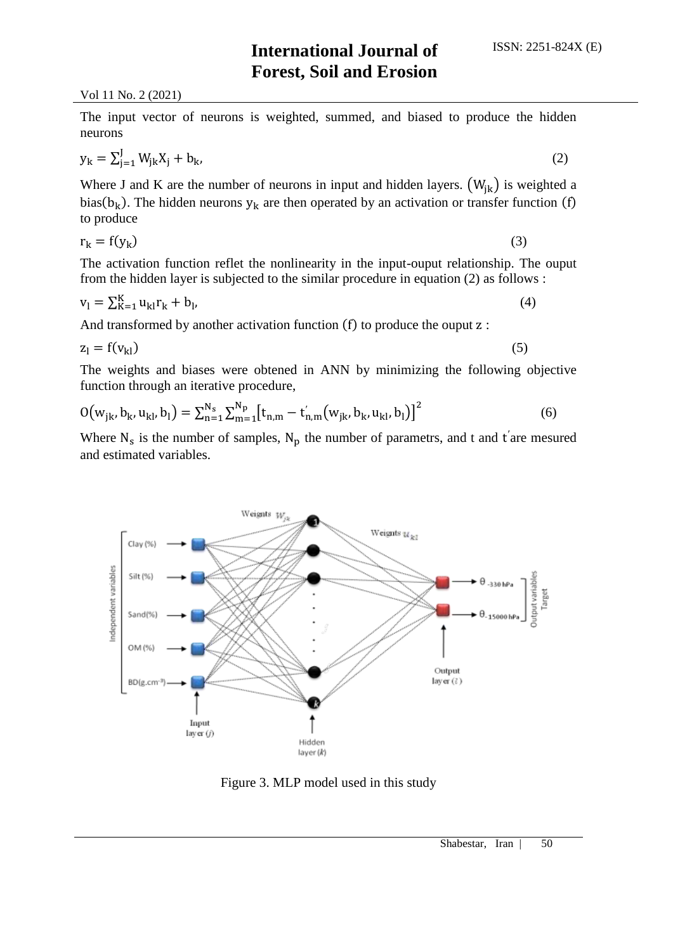The input vector of neurons is weighted, summed, and biased to produce the hidden neurons

$$
y_k = \sum_{j=1}^{J} W_{jk} X_j + b_k,
$$
 (2)

Where J and K are the number of neurons in input and hidden layers.  $(W_{ik})$  is weighted a bias( $b_k$ ). The hidden neurons  $y_k$  are then operated by an activation or transfer function (f) to produce

$$
r_k = f(y_k) \tag{3}
$$

The activation function reflet the nonlinearity in the input-ouput relationship. The ouput from the hidden layer is subjected to the similar procedure in equation (2) as follows :

$$
v_l = \sum_{K=1}^{K} u_{kl} r_k + b_l, \tag{4}
$$

And transformed by another activation function  $(f)$  to produce the ouput  $z$ :

$$
z_l = f(v_{kl})
$$
 (5)

The weights and biases were obtened in ANN by minimizing the following objective function through an iterative procedure,

$$
O(w_{jk}, b_k, u_{kl}, b_l) = \sum_{n=1}^{N_s} \sum_{m=1}^{N_p} [t_{n,m} - t'_{n,m}(w_{jk}, b_k, u_{kl}, b_l)]^2
$$
 (6)

Where  $N_s$  is the number of samples,  $N_p$  the number of parametrs, and t and t are mesured and estimated variables.



Figure 3. MLP model used in this study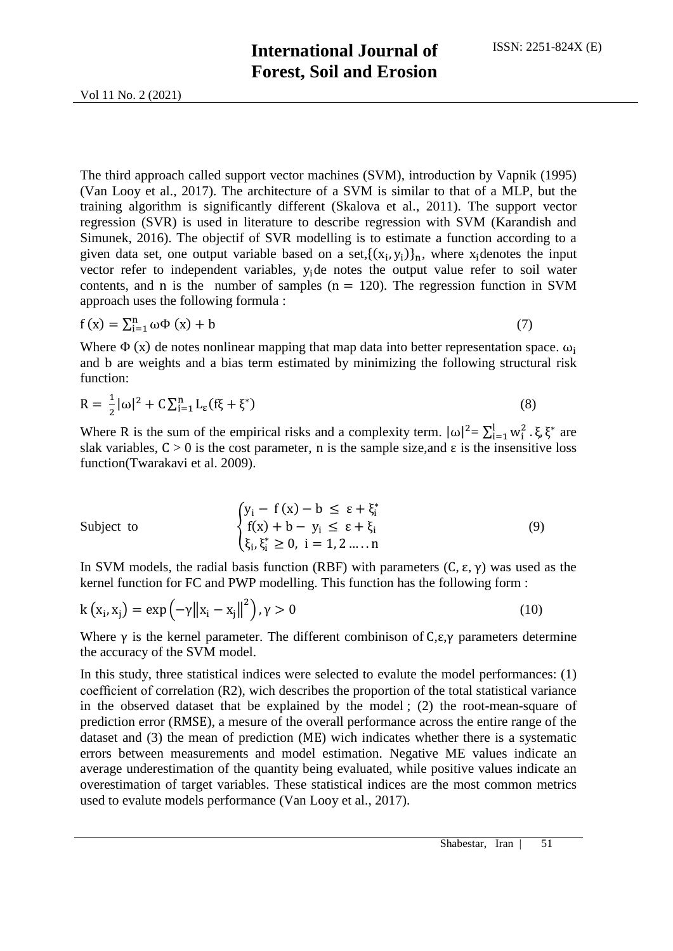The third approach called support vector machines (SVM), introduction by Vapnik (1995) (Van Looy et al., 2017). The architecture of a SVM is similar to that of a MLP, but the training algorithm is significantly different (Skalova et al., 2011). The support vector regression (SVR) is used in literature to describe regression with SVM (Karandish and Simunek, 2016). The objectif of SVR modelling is to estimate a function according to a given data set, one output variable based on a set,  $\{(x_i, y_i)\}_n$ , where  $x_i$  denotes the input vector refer to independent variables,  $y_i$ de notes the output value refer to soil water contents, and n is the number of samples  $(n = 120)$ . The regression function in SVM approach uses the following formula :

$$
f(x) = \sum_{i=1}^{n} \omega \Phi(x) + b \tag{7}
$$

Where  $\Phi(x)$  de notes nonlinear mapping that map data into better representation space.  $\omega_i$ and b are weights and a bias term estimated by minimizing the following structural risk function:

$$
R = \frac{1}{2}|\omega|^2 + C\sum_{i=1}^n L_{\varepsilon}(f\xi + \xi^*)
$$
\n(8)

Where R is the sum of the empirical risks and a complexity term.  $|\omega|^2 = \sum_{i=1}^l w_i^2$ .  $\xi$ ,  $\xi^*$  are slak variables,  $C > 0$  is the cost parameter, n is the sample size, and  $\varepsilon$  is the insensitive loss function(Twarakavi et al. 2009).

Subject to  $y_i - f(x) - b \le \varepsilon + \xi_i^*$  $f(x) +$  $\xi_i, \xi_i^*$ (9)

In SVM models, the radial basis function (RBF) with parameters  $(C, \varepsilon, \gamma)$  was used as the kernel function for FC and PWP modelling. This function has the following form :

$$
k(xi, xj) = exp(-\gamma ||xi - xj||2), \gamma > 0
$$
\n(10)

Where y is the kernel parameter. The different combinison of  $C, \varepsilon, \gamma$  parameters determine the accuracy of the SVM model.

In this study, three statistical indices were selected to evalute the model performances: (1) coefficient of correlation (R2), wich describes the proportion of the total statistical variance in the observed dataset that be explained by the model ; (2) the root-mean-square of prediction error (RMSE), a mesure of the overall performance across the entire range of the dataset and  $(3)$  the mean of prediction  $(ME)$  wich indicates whether there is a systematic errors between measurements and model estimation. Negative ME values indicate an average underestimation of the quantity being evaluated, while positive values indicate an overestimation of target variables. These statistical indices are the most common metrics used to evalute models performance (Van Looy et al., 2017).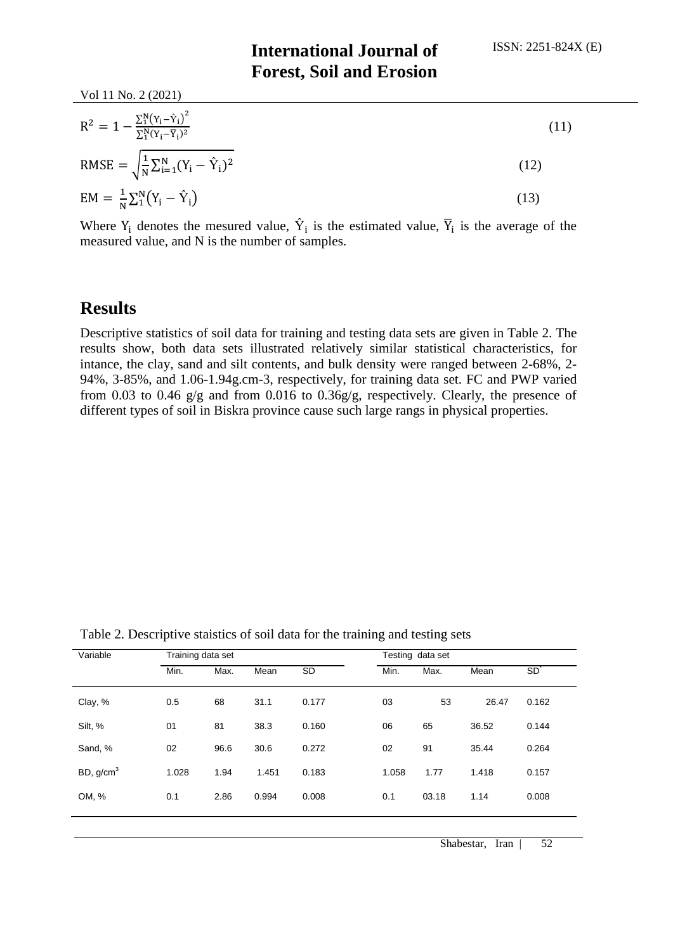Vol 11 No. 2 (2021)

$$
R^{2} = 1 - \frac{\sum_{1}^{N} (Y_{i} - \hat{Y}_{i})^{2}}{\sum_{1}^{N} (Y_{i} - \bar{Y}_{i})^{2}}
$$
(11)

RMSE = 
$$
\sqrt{\frac{1}{N} \sum_{i=1}^{N} (Y_i - \hat{Y}_i)^2}
$$
 (12)

$$
EM = \frac{1}{N} \sum_{i=1}^{N} (Y_i - \hat{Y}_i)
$$
\n(13)

Where  $Y_i$  denotes the mesured value,  $\hat{Y}_i$  is the estimated value,  $\overline{Y}_i$  is the average of the measured value, and N is the number of samples.

### **Results**

Descriptive statistics of soil data for training and testing data sets are given in Table 2. The results show, both data sets illustrated relatively similar statistical characteristics, for intance, the clay, sand and silt contents, and bulk density were ranged between 2-68%, 2- 94%, 3-85%, and 1.06-1.94g.cm-3, respectively, for training data set. FC and PWP varied from 0.03 to 0.46  $g/g$  and from 0.016 to 0.36 $g/g$ , respectively. Clearly, the presence of different types of soil in Biskra province cause such large rangs in physical properties.

| Variable              |       | Training data set |       |       |       | Testing data set |       |                 |  |  |
|-----------------------|-------|-------------------|-------|-------|-------|------------------|-------|-----------------|--|--|
|                       | Min.  | Max.              | Mean  | SD    | Min.  | Max.             | Mean  | SD <sup>-</sup> |  |  |
| Clay, %               | 0.5   | 68                | 31.1  | 0.177 | 03    | 53               | 26.47 | 0.162           |  |  |
| Silt, %               | 01    | 81                | 38.3  | 0.160 | 06    | 65               | 36.52 | 0.144           |  |  |
| Sand, %               | 02    | 96.6              | 30.6  | 0.272 | 02    | 91               | 35.44 | 0.264           |  |  |
| BD, g/cm <sup>3</sup> | 1.028 | 1.94              | 1.451 | 0.183 | 1.058 | 1.77             | 1.418 | 0.157           |  |  |
| OM, %                 | 0.1   | 2.86              | 0.994 | 0.008 | 0.1   | 03.18            | 1.14  | 0.008           |  |  |
|                       |       |                   |       |       |       |                  |       |                 |  |  |

Table 2. Descriptive staistics of soil data for the training and testing sets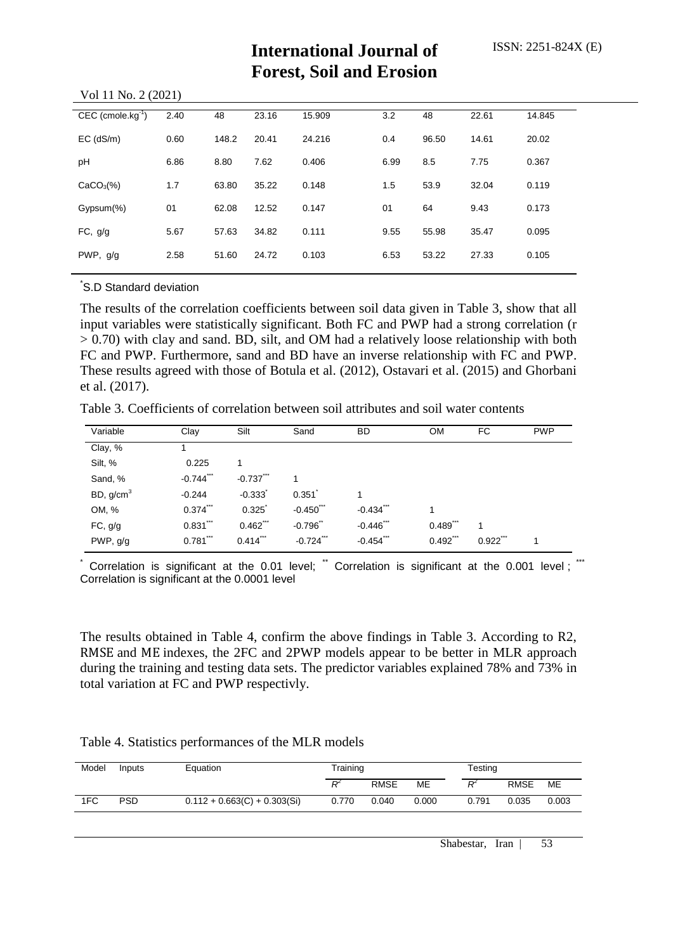| $CEC$ (cmole.kg <sup>-1</sup> ) | 2.40 | 48    | 23.16 | 15.909 | 3.2  | 48    | 22.61 | 14.845 |
|---------------------------------|------|-------|-------|--------|------|-------|-------|--------|
| $EC$ (dS/m)                     | 0.60 | 148.2 | 20.41 | 24.216 | 0.4  | 96.50 | 14.61 | 20.02  |
| pH                              | 6.86 | 8.80  | 7.62  | 0.406  | 6.99 | 8.5   | 7.75  | 0.367  |
| $CaCO3(\%)$                     | 1.7  | 63.80 | 35.22 | 0.148  | 1.5  | 53.9  | 32.04 | 0.119  |
| Gypsum(%)                       | 01   | 62.08 | 12.52 | 0.147  | 01   | 64    | 9.43  | 0.173  |
| FC, g/g                         | 5.67 | 57.63 | 34.82 | 0.111  | 9.55 | 55.98 | 35.47 | 0.095  |
| PWP, g/g                        | 2.58 | 51.60 | 24.72 | 0.103  | 6.53 | 53.22 | 27.33 | 0.105  |
|                                 |      |       |       |        |      |       |       |        |

Vol 11 No. 2 (2021)

\* S.D Standard deviation

The results of the correlation coefficients between soil data given in Table 3, show that all input variables were statistically significant. Both FC and PWP had a strong correlation (r  $> 0.70$ ) with clay and sand. BD, silt, and OM had a relatively loose relationship with both FC and PWP. Furthermore, sand and BD have an inverse relationship with FC and PWP. These results agreed with those of Botula et al. (2012), Ostavari et al. (2015) and Ghorbani et al. (2017).

Table 3. Coefficients of correlation between soil attributes and soil water contents

| Variable    | Clay                   | Silt        | Sand         | <b>BD</b>             | <b>OM</b>   | FC    | <b>PWP</b> |
|-------------|------------------------|-------------|--------------|-----------------------|-------------|-------|------------|
| Clay, %     |                        |             |              |                       |             |       |            |
| Silt, %     | 0.225                  |             |              |                       |             |       |            |
| Sand, %     | <b>XXX</b><br>$-0.744$ | $-0.737$    |              |                       |             |       |            |
| BD, $g/cm3$ | $-0.244$               | $-0.333$    | 0.351        | 1                     |             |       |            |
| OM, %       | $0.374$ ***            | 0.325       | $-0.450$ *** | $-0.434$ <sup>"</sup> |             |       |            |
| FC, g/g     | $0.831$ ***            | $0.462$ *** | $-0.796$     | $-0.446$ ***          | 0.489       | 1     |            |
| PWP, g/g    | $0.781$ ***            | $0.414$ *** | $-0.724$ *** | $-0.454$ ***          | $0.492$ *** | 0.922 | 1          |

Correlation is significant at the 0.01 level;  $\ddot{\,}$  Correlation is significant at the 0.001 level;  $\dddot{\,}$ Correlation is significant at the 0.0001 level

The results obtained in Table 4, confirm the above findings in Table 3. According to R2, RMSE and ME indexes, the 2FC and 2PWP models appear to be better in MLR approach during the training and testing data sets. The predictor variables explained 78% and 73% in total variation at FC and PWP respectivly.

#### Table 4. Statistics performances of the MLR models

| Model | <b>Inputs</b> | Equation                       | Training |             |       | Testing      |       |       |
|-------|---------------|--------------------------------|----------|-------------|-------|--------------|-------|-------|
|       |               |                                | $R^2$    | <b>RMSE</b> | MЕ    | $\mathsf{P}$ | RMSE  | ME    |
| 1FC   | <b>PSD</b>    | $0.112 + 0.663(C) + 0.303(Si)$ | 0.770    | 0.040       | 0.000 | 0.791        | 0.035 | 0.003 |
|       |               |                                |          |             |       |              |       |       |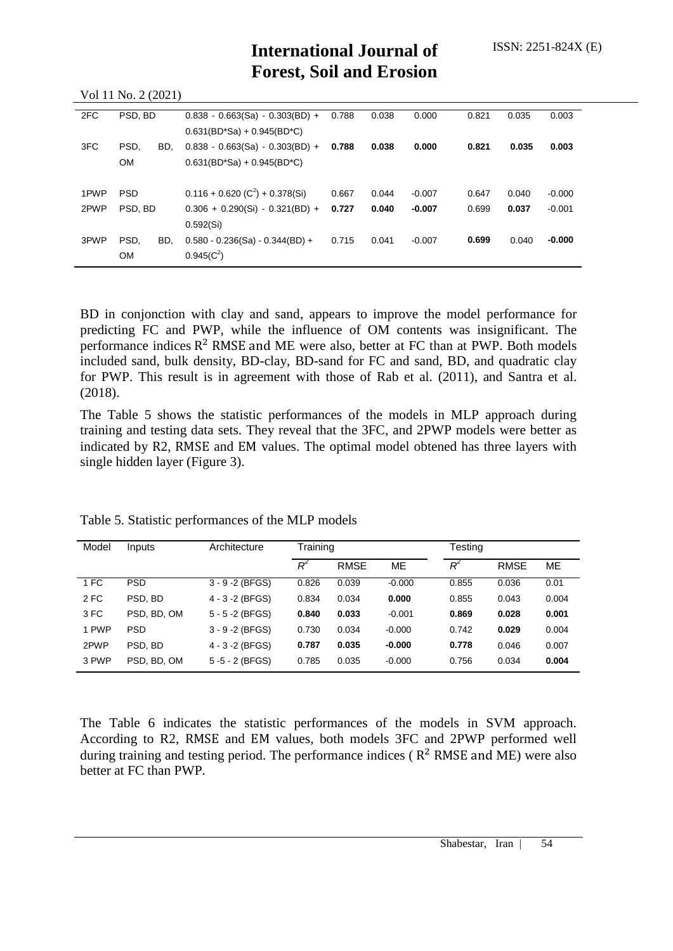| 2FC  | PSD, BD     | $0.838 - 0.663(Sa) - 0.303(BD) +$             | 0.788 | 0.038 | 0.000    | 0.821 | 0.035 | 0.003    |
|------|-------------|-----------------------------------------------|-------|-------|----------|-------|-------|----------|
|      |             | $0.631(BD^*Sa) + 0.945(BD^*C)$                |       |       |          |       |       |          |
| 3FC  | PSD.<br>BD. | $0.838 - 0.663(Sa) - 0.303(BD) +$             | 0.788 | 0.038 | 0.000    | 0.821 | 0.035 | 0.003    |
|      | <b>OM</b>   | $0.631(BD^*Sa) + 0.945(BD^*C)$                |       |       |          |       |       |          |
|      |             |                                               |       |       |          |       |       |          |
| 1PWP | <b>PSD</b>  | $0.116 + 0.620$ (C <sup>2</sup> ) + 0.378(Si) | 0.667 | 0.044 | $-0.007$ | 0.647 | 0.040 | $-0.000$ |
| 2PWP | PSD, BD     | $0.306 + 0.290(Si) - 0.321(BD) +$             | 0.727 | 0.040 | $-0.007$ | 0.699 | 0.037 | $-0.001$ |
|      |             | 0.592(Si)                                     |       |       |          |       |       |          |
| 3PWP | PSD.<br>BD. | $0.580 - 0.236(Sa) - 0.344(BD) +$             | 0.715 | 0.041 | $-0.007$ | 0.699 | 0.040 | $-0.000$ |
|      | <b>OM</b>   | $0.945(C^2)$                                  |       |       |          |       |       |          |

BD in conjonction with clay and sand, appears to improve the model performance for predicting FC and PWP, while the influence of OM contents was insignificant. The performance indices  $R^2$  RMSE and ME were also, better at FC than at PWP. Both models included sand, bulk density, BD-clay, BD-sand for FC and sand, BD, and quadratic clay for PWP. This result is in agreement with those of Rab et al. (2011), and Santra et al. (2018).

The Table 5 shows the statistic performances of the models in MLP approach during training and testing data sets. They reveal that the 3FC, and 2PWP models were better as indicated by R2, RMSE and EM values. The optimal model obtened has three layers with single hidden layer (Figure 3).

| Model | Inputs      | Architecture       | Training |             |          | Testing |             |       |  |
|-------|-------------|--------------------|----------|-------------|----------|---------|-------------|-------|--|
|       |             |                    | $R^2$    | <b>RMSE</b> | ME       | $R^2$   | <b>RMSE</b> | ME    |  |
| 1 FC  | <b>PSD</b>  | $3 - 9 - 2$ (BFGS) | 0.826    | 0.039       | $-0.000$ | 0.855   | 0.036       | 0.01  |  |
| 2 FC  | PSD, BD     | $4 - 3 - 2$ (BFGS) | 0.834    | 0.034       | 0.000    | 0.855   | 0.043       | 0.004 |  |
| 3 FC  | PSD, BD, OM | $5 - 5 - 2$ (BFGS) | 0.840    | 0.033       | $-0.001$ | 0.869   | 0.028       | 0.001 |  |
| 1 PWP | <b>PSD</b>  | $3 - 9 - 2$ (BFGS) | 0.730    | 0.034       | $-0.000$ | 0.742   | 0.029       | 0.004 |  |
| 2PWP  | PSD, BD     | 4 - 3 - 2 (BFGS)   | 0.787    | 0.035       | $-0.000$ | 0.778   | 0.046       | 0.007 |  |
| 3 PWP | PSD, BD, OM | $5 - 5 - 2$ (BFGS) | 0.785    | 0.035       | $-0.000$ | 0.756   | 0.034       | 0.004 |  |

Table 5. Statistic performances of the MLP models

Vol 11 No. 2 (2021)

The Table 6 indicates the statistic performances of the models in SVM approach. According to R2, RMSE and EM values, both models 3FC and 2PWP performed well during training and testing period. The performance indices ( $R^2$  RMSE and ME) were also better at FC than PWP.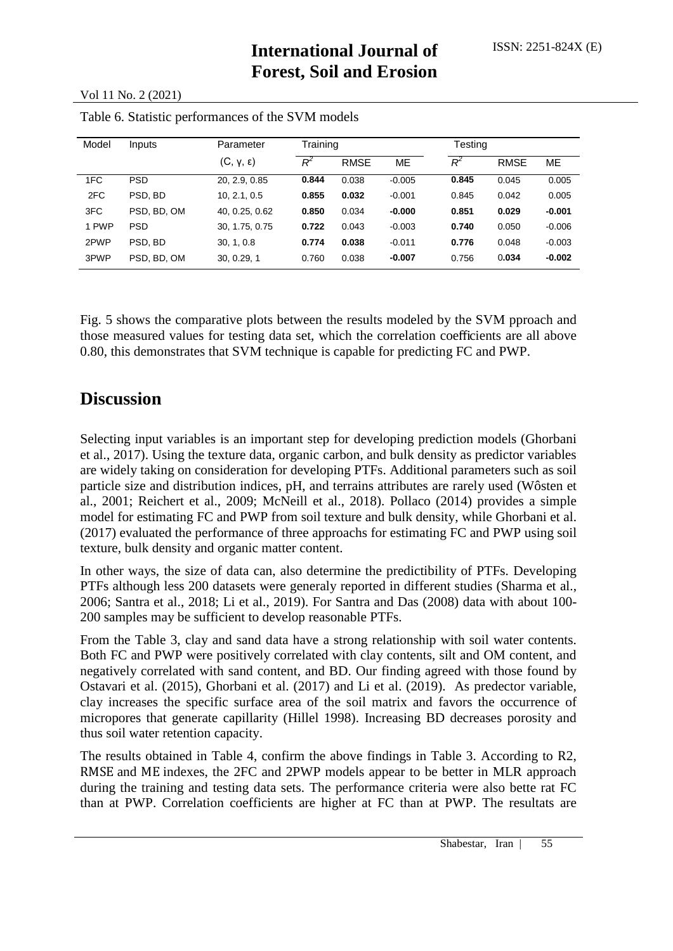| Model | Inputs      | Parameter               |       | Training    |           |       | Testing     |          |  |  |
|-------|-------------|-------------------------|-------|-------------|-----------|-------|-------------|----------|--|--|
|       |             | $(C, \gamma, \epsilon)$ | $R^2$ | <b>RMSE</b> | <b>ME</b> | $R^2$ | <b>RMSE</b> | ME       |  |  |
| 1FC   | <b>PSD</b>  | 20, 2.9, 0.85           | 0.844 | 0.038       | $-0.005$  | 0.845 | 0.045       | 0.005    |  |  |
| 2FC   | PSD, BD     | 10, 2.1, 0.5            | 0.855 | 0.032       | $-0.001$  | 0.845 | 0.042       | 0.005    |  |  |
| 3FC   | PSD, BD, OM | 40, 0.25, 0.62          | 0.850 | 0.034       | $-0.000$  | 0.851 | 0.029       | $-0.001$ |  |  |
| 1 PWP | <b>PSD</b>  | 30, 1.75, 0.75          | 0.722 | 0.043       | $-0.003$  | 0.740 | 0.050       | $-0.006$ |  |  |
| 2PWP  | PSD, BD     | 30, 1, 0.8              | 0.774 | 0.038       | $-0.011$  | 0.776 | 0.048       | $-0.003$ |  |  |
| 3PWP  | PSD, BD, OM | 30, 0.29, 1             | 0.760 | 0.038       | $-0.007$  | 0.756 | 0.034       | $-0.002$ |  |  |

Table 6. Statistic performances of the SVM models

Fig. 5 shows the comparative plots between the results modeled by the SVM pproach and those measured values for testing data set, which the correlation coefficients are all above 0.80, this demonstrates that SVM technique is capable for predicting FC and PWP.

#### **Discussion**

Selecting input variables is an important step for developing prediction models (Ghorbani et al., 2017). Using the texture data, organic carbon, and bulk density as predictor variables are widely taking on consideration for developing PTFs. Additional parameters such as soil particle size and distribution indices, pH, and terrains attributes are rarely used (Wôsten et al., 2001; Reichert et al., 2009; McNeill et al., 2018). Pollaco (2014) provides a simple model for estimating FC and PWP from soil texture and bulk density, while Ghorbani et al. (2017) evaluated the performance of three approachs for estimating FC and PWP using soil texture, bulk density and organic matter content.

In other ways, the size of data can, also determine the predictibility of PTFs. Developing PTFs although less 200 datasets were generaly reported in different studies (Sharma et al., 2006; Santra et al., 2018; Li et al., 2019). For Santra and Das (2008) data with about 100- 200 samples may be sufficient to develop reasonable PTFs.

From the Table 3, clay and sand data have a strong relationship with soil water contents. Both FC and PWP were positively correlated with clay contents, silt and OM content, and negatively correlated with sand content, and BD. Our finding agreed with those found by Ostavari et al. (2015), Ghorbani et al. (2017) and Li et al. (2019). As predector variable, clay increases the specific surface area of the soil matrix and favors the occurrence of micropores that generate capillarity (Hillel 1998). Increasing BD decreases porosity and thus soil water retention capacity.

The results obtained in Table 4, confirm the above findings in Table 3. According to R2, RMSE and ME indexes, the 2FC and 2PWP models appear to be better in MLR approach during the training and testing data sets. The performance criteria were also bette rat FC than at PWP. Correlation coefficients are higher at FC than at PWP. The resultats are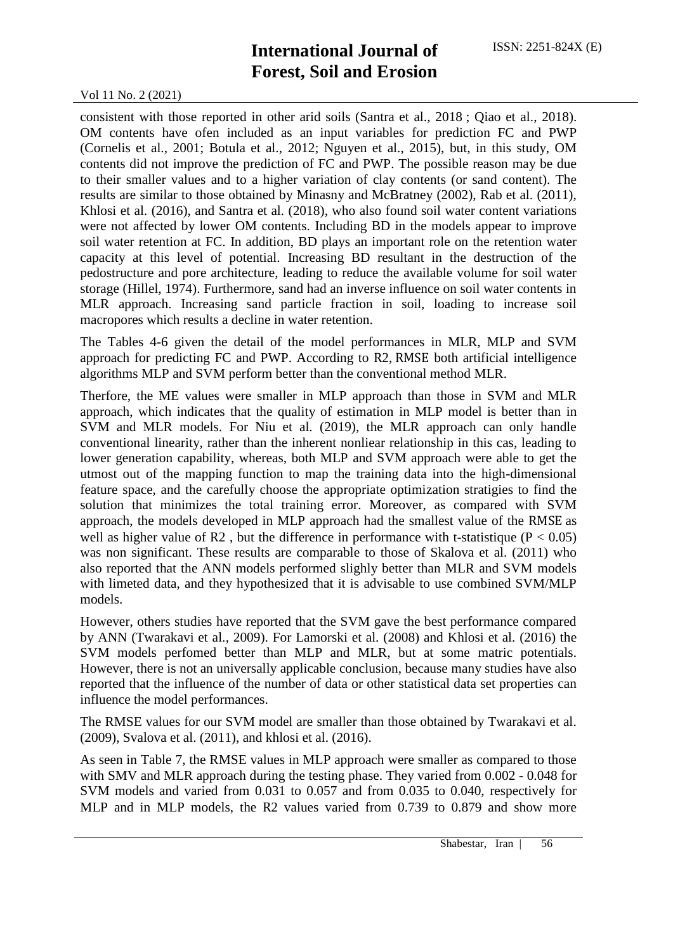consistent with those reported in other arid soils (Santra et al., 2018 ; Qiao et al., 2018). OM contents have ofen included as an input variables for prediction FC and PWP (Cornelis et al., 2001; Botula et al., 2012; Nguyen et al., 2015), but, in this study, OM contents did not improve the prediction of FC and PWP. The possible reason may be due to their smaller values and to a higher variation of clay contents (or sand content). The results are similar to those obtained by Minasny and McBratney (2002), Rab et al. (2011), Khlosi et al. (2016), and Santra et al. (2018), who also found soil water content variations were not affected by lower OM contents. Including BD in the models appear to improve soil water retention at FC. In addition, BD plays an important role on the retention water capacity at this level of potential. Increasing BD resultant in the destruction of the pedostructure and pore architecture, leading to reduce the available volume for soil water storage (Hillel, 1974). Furthermore, sand had an inverse influence on soil water contents in MLR approach. Increasing sand particle fraction in soil, loading to increase soil macropores which results a decline in water retention.

The Tables 4-6 given the detail of the model performances in MLR, MLP and SVM approach for predicting FC and PWP. According to R2, RMSE both artificial intelligence algorithms MLP and SVM perform better than the conventional method MLR.

Therfore, the ME values were smaller in MLP approach than those in SVM and MLR approach, which indicates that the quality of estimation in MLP model is better than in SVM and MLR models. For Niu et al. (2019), the MLR approach can only handle conventional linearity, rather than the inherent nonliear relationship in this cas, leading to lower generation capability, whereas, both MLP and SVM approach were able to get the utmost out of the mapping function to map the training data into the high-dimensional feature space, and the carefully choose the appropriate optimization stratigies to find the solution that minimizes the total training error. Moreover, as compared with SVM approach, the models developed in MLP approach had the smallest value of the RMSE as well as higher value of R2, but the difference in performance with t-statistique ( $P < 0.05$ ) was non significant. These results are comparable to those of Skalova et al. (2011) who also reported that the ANN models performed slighly better than MLR and SVM models with limeted data, and they hypothesized that it is advisable to use combined SVM/MLP models.

However, others studies have reported that the SVM gave the best performance compared by ANN (Twarakavi et al., 2009). For Lamorski et al. (2008) and Khlosi et al. (2016) the SVM models perfomed better than MLP and MLR, but at some matric potentials. However, there is not an universally applicable conclusion, because many studies have also reported that the influence of the number of data or other statistical data set properties can influence the model performances.

The RMSE values for our SVM model are smaller than those obtained by Twarakavi et al. (2009), Svalova et al. (2011), and khlosi et al. (2016).

As seen in Table 7, the RMSE values in MLP approach were smaller as compared to those with SMV and MLR approach during the testing phase. They varied from 0.002 - 0.048 for SVM models and varied from 0.031 to 0.057 and from 0.035 to 0.040, respectively for MLP and in MLP models, the R2 values varied from 0.739 to 0.879 and show more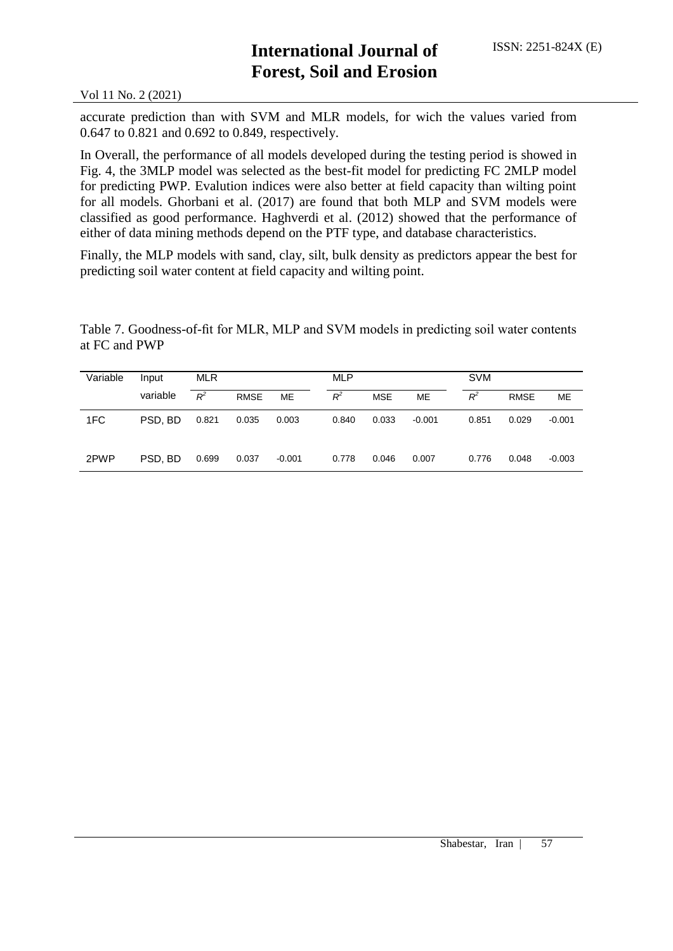accurate prediction than with SVM and MLR models, for wich the values varied from 0.647 to 0.821 and 0.692 to 0.849, respectively.

In Overall, the performance of all models developed during the testing period is showed in Fig. 4, the 3MLP model was selected as the best-fit model for predicting FC 2MLP model for predicting PWP. Evalution indices were also better at field capacity than wilting point for all models. Ghorbani et al. (2017) are found that both MLP and SVM models were classified as good performance. Haghverdi et al. (2012) showed that the performance of either of data mining methods depend on the PTF type, and database characteristics.

Finally, the MLP models with sand, clay, silt, bulk density as predictors appear the best for predicting soil water content at field capacity and wilting point.

Table 7. Goodness-of-fit for MLR, MLP and SVM models in predicting soil water contents at FC and PWP

| Variable | Input    | <b>MLR</b> |             |          | <b>MLP</b> |            |          | <b>SVM</b> |             |          |
|----------|----------|------------|-------------|----------|------------|------------|----------|------------|-------------|----------|
|          | variable | $R^2$      | <b>RMSE</b> | ME       | $R^2$      | <b>MSE</b> | ME       | $R^2$      | <b>RMSE</b> | ME       |
| 1FC      | PSD, BD  | 0.821      | 0.035       | 0.003    | 0.840      | 0.033      | $-0.001$ | 0.851      | 0.029       | $-0.001$ |
| 2PWP     | PSD, BD  | 0.699      | 0.037       | $-0.001$ | 0.778      | 0.046      | 0.007    | 0.776      | 0.048       | $-0.003$ |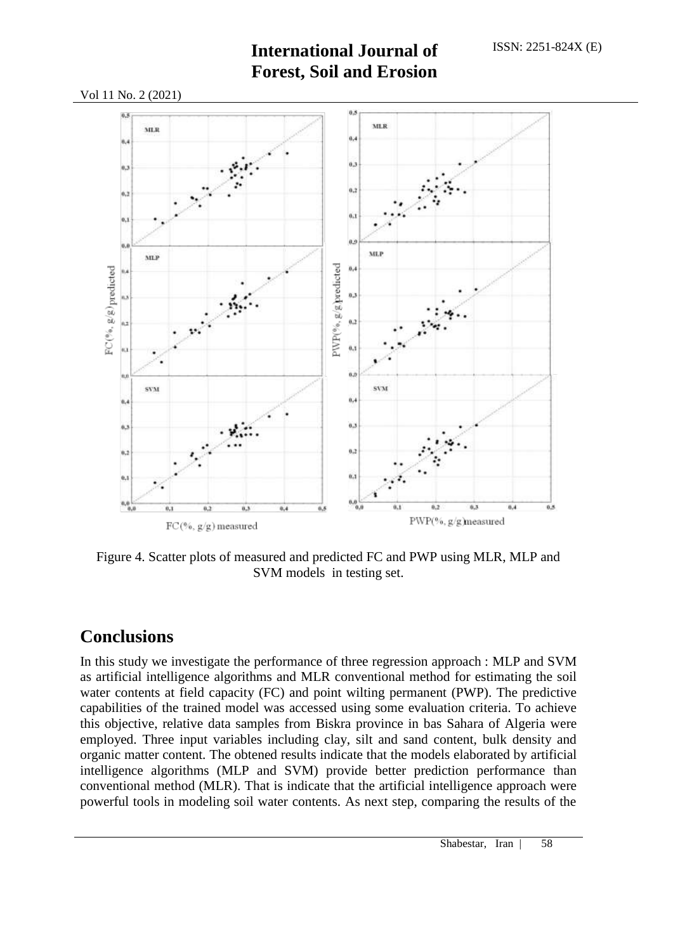Vol 11 No. 2 (2021)



Figure 4. Scatter plots of measured and predicted FC and PWP using MLR, MLP and SVM models in testing set.

#### **Conclusions**

In this study we investigate the performance of three regression approach : MLP and SVM as artificial intelligence algorithms and MLR conventional method for estimating the soil water contents at field capacity (FC) and point wilting permanent (PWP). The predictive capabilities of the trained model was accessed using some evaluation criteria. To achieve this objective, relative data samples from Biskra province in bas Sahara of Algeria were employed. Three input variables including clay, silt and sand content, bulk density and organic matter content. The obtened results indicate that the models elaborated by artificial intelligence algorithms (MLP and SVM) provide better prediction performance than conventional method (MLR). That is indicate that the artificial intelligence approach were powerful tools in modeling soil water contents. As next step, comparing the results of the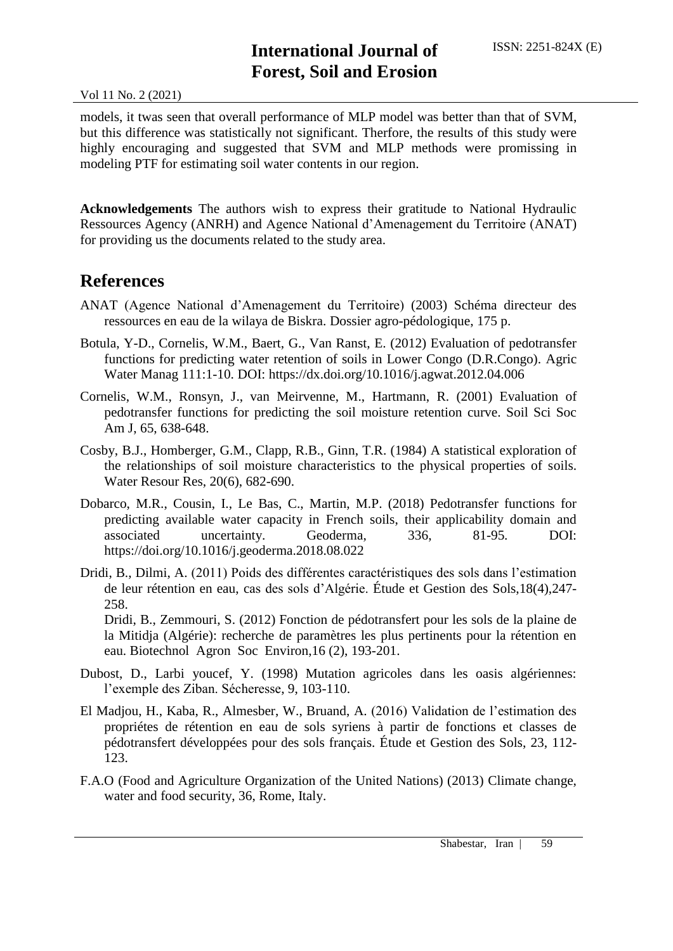models, it twas seen that overall performance of MLP model was better than that of SVM, but this difference was statistically not significant. Therfore, the results of this study were highly encouraging and suggested that SVM and MLP methods were promissing in modeling PTF for estimating soil water contents in our region.

**Acknowledgements** The authors wish to express their gratitude to National Hydraulic Ressources Agency (ANRH) and Agence National d'Amenagement du Territoire (ANAT) for providing us the documents related to the study area.

#### **References**

- ANAT (Agence National d'Amenagement du Territoire) (2003) Schéma directeur des ressources en eau de la wilaya de Biskra. Dossier agro-pédologique, 175 p.
- Botula, Y-D., Cornelis, W.M., Baert, G., Van Ranst, E. (2012) Evaluation of pedotransfer functions for predicting water retention of soils in Lower Congo (D.R.Congo). Agric Water Manag 111:1-10. DOI:<https://dx.doi.org/10.1016/j.agwat.2012.04.006>
- Cornelis, W.M., Ronsyn, J., van Meirvenne, M., Hartmann, R. (2001) Evaluation of pedotransfer functions for predicting the soil moisture retention curve. Soil Sci Soc Am J, 65, 638-648.
- Cosby, B.J., Homberger, G.M., Clapp, R.B., Ginn, T.R. (1984) A statistical exploration of the relationships of soil moisture characteristics to the physical properties of soils. Water Resour Res, 20(6), 682-690.
- Dobarco, M.R., Cousin, I., Le Bas, C., Martin, M.P. (2018) Pedotransfer functions for predicting available water capacity in French soils, their applicability domain and associated uncertainty. Geoderma, 336, 81-95. DOI: <https://doi.org/10.1016/j.geoderma.2018.08.022>
- Dridi, B., Dilmi, A. (2011) Poids des différentes caractéristiques des sols dans l'estimation de leur rétention en eau, cas des sols d'Algérie. Étude et Gestion des Sols,18(4),247- 258.

Dridi, B., Zemmouri, S. (2012) Fonction de pédotransfert pour les sols de la plaine de la Mitidja (Algérie): recherche de paramètres les plus pertinents pour la rétention en eau. Biotechnol Agron Soc Environ,16 (2), 193-201.

- Dubost, D., Larbi youcef, Y. (1998) Mutation agricoles dans les oasis algériennes: l'exemple des Ziban. Sécheresse, 9, 103-110.
- El Madjou, H., Kaba, R., Almesber, W., Bruand, A. (2016) Validation de l'estimation des propriétes de rétention en eau de sols syriens à partir de fonctions et classes de pédotransfert développées pour des sols français. Étude et Gestion des Sols, 23, 112- 123.
- F.A.O (Food and Agriculture Organization of the United Nations) (2013) Climate change, water and food security, 36, Rome, Italy.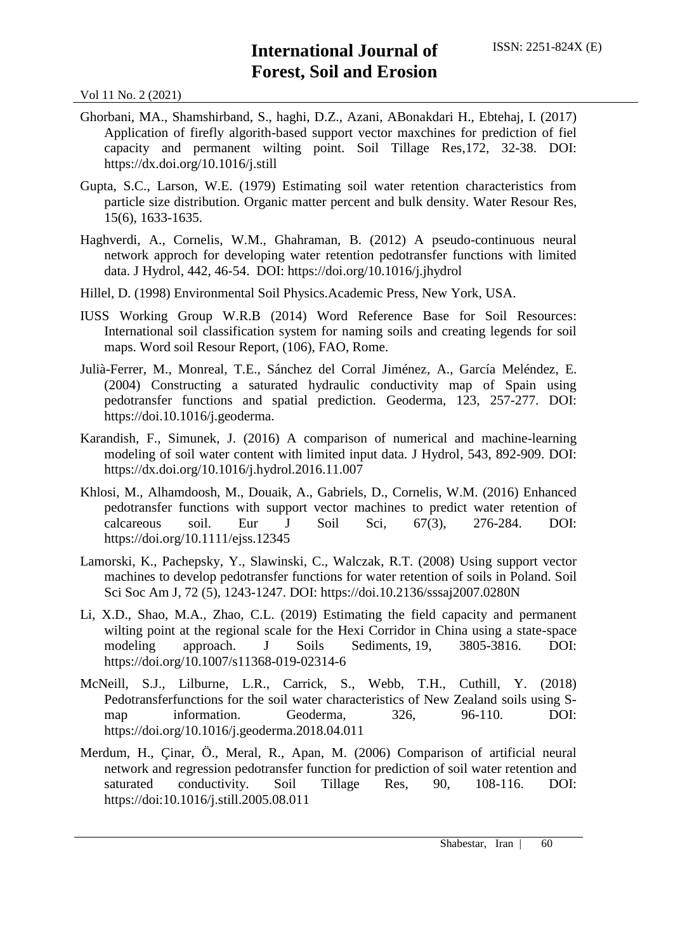- Ghorbani, MA., Shamshirband, S., haghi, D.Z., Azani, ABonakdari H., Ebtehaj, I. (2017) Application of firefly algorith-based support vector maxchines for prediction of fiel capacity and permanent wilting point. Soil Tillage Res,172, 32-38. DOI: <https://dx.doi.org/10.1016/j.still>
- Gupta, S.C., Larson, W.E. (1979) Estimating soil water retention characteristics from particle size distribution. Organic matter percent and bulk density. Water Resour Res, 15(6), 1633-1635.
- Haghverdi, A., Cornelis, W.M., Ghahraman, B. (2012) A pseudo-continuous neural network approch for developing water retention pedotransfer functions with limited data. J Hydrol, 442, 46-54. DOI: <https://doi.org/10.1016/j.jhydrol>
- Hillel, D. (1998) Environmental Soil Physics.Academic Press, New York, USA.
- IUSS Working Group W.R.B (2014) Word Reference Base for Soil Resources: International soil classification system for naming soils and creating legends for soil maps. Word soil Resour Report, (106), FAO, Rome.
- Julià-Ferrer, M., Monreal, T.E., Sánchez del Corral Jiménez, A., García Meléndez, E. (2004) Constructing a saturated hydraulic conductivity map of Spain using pedotransfer functions and spatial prediction. Geoderma, 123, 257-277. DOI: [https://doi.10.1016/j.geoderma.](https://doi.10.1016/j.geoderma)
- Karandish, F., Simunek, J. (2016) A comparison of numerical and machine-learning modeling of soil water content with limited input data. J Hydrol, 543, 892-909. DOI: <https://dx.doi.org/10.1016/j.hydrol.2016.11.007>
- Khlosi, M., Alhamdoosh, M., Douaik, A., Gabriels, D., Cornelis, W.M. (2016) Enhanced pedotransfer functions with support vector machines to predict water retention of calcareous soil. Eur J Soil Sci, 67(3), 276-284. DOI: <https://doi.org/10.1111/ejss.12345>
- Lamorski, K., Pachepsky, Y., Slawinski, C., Walczak, R.T. (2008) Using support vector machines to develop pedotransfer functions for water retention of soils in Poland. Soil Sci Soc Am J, 72 (5), 1243-1247. DOI: <https://doi.10.2136/sssaj2007.0280N>
- Li, X.D., Shao, M.A., Zhao, C.L. (2019) Estimating the field capacity and permanent wilting point at the regional scale for the Hexi Corridor in China using a state-space modeling approach. J Soils Sediments, 19, 3805-3816. DOI: <https://doi.org/10.1007/s11368-019-02314-6>
- McNeill, S.J., Lilburne, L.R., Carrick, S., Webb, T.H., Cuthill, Y. (2018) Pedotransferfunctions for the soil water characteristics of New Zealand soils using Smap information. Geoderma, 326, 96-110. DOI: <https://doi.org/10.1016/j.geoderma.2018.04.011>
- Merdum, H., Çinar, Ö., Meral, R., Apan, M. (2006) Comparison of artificial neural network and regression pedotransfer function for prediction of soil water retention and saturated conductivity. Soil Tillage Res, 90, 108-116. DOI: <https://doi:10.1016/j.still.2005.08.011>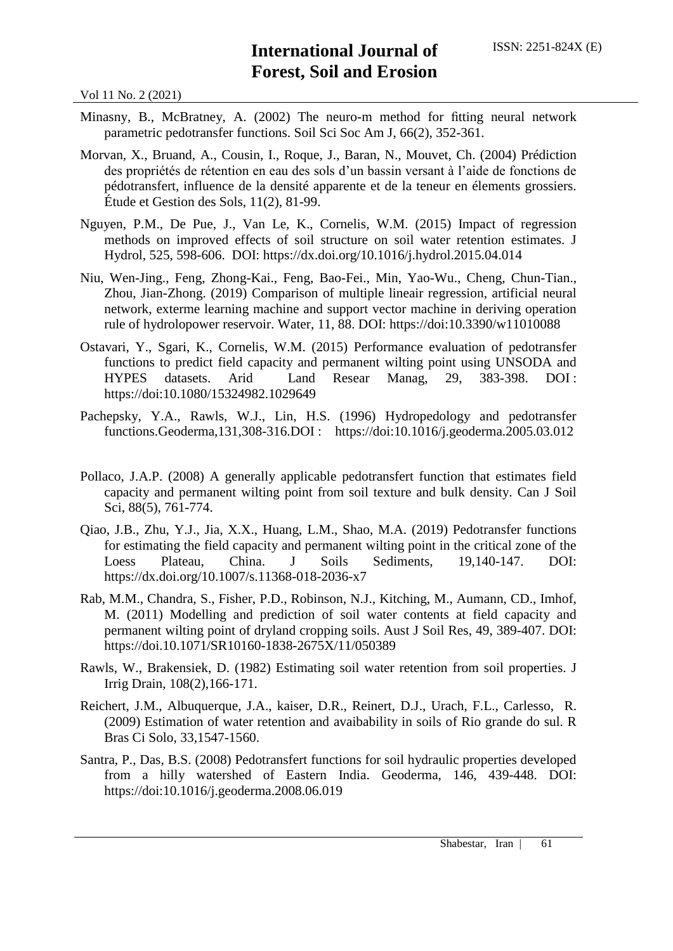- Minasny, B., McBratney, A. (2002) The neuro-m method for fitting neural network parametric pedotransfer functions. Soil Sci Soc Am J, 66(2), 352-361.
- Morvan, X., Bruand, A., Cousin, I., Roque, J., Baran, N., Mouvet, Ch. (2004) Prédiction des propriétés de rétention en eau des sols d'un bassin versant à l'aide de fonctions de pédotransfert, influence de la densité apparente et de la teneur en élements grossiers. Étude et Gestion des Sols, 11(2), 81-99.
- Nguyen, P.M., De Pue, J., Van Le, K., Cornelis, W.M. (2015) Impact of regression methods on improved effects of soil structure on soil water retention estimates. J Hydrol, 525, 598-606. DOI:<https://dx.doi.org/10.1016/j.hydrol.2015.04.014>
- Niu, Wen-Jing., Feng, Zhong-Kai., Feng, Bao-Fei., Min, Yao-Wu., Cheng, Chun-Tian., Zhou, Jian-Zhong. (2019) Comparison of multiple lineair regression, artificial neural network, exterme learning machine and support vector machine in deriving operation rule of hydrolopower reservoir. Water, 11, 88. DOI:<https://doi:10.3390/w11010088>
- Ostavari, Y., Sgari, K., Cornelis, W.M. (2015) Performance evaluation of pedotransfer functions to predict field capacity and permanent wilting point using UNSODA and HYPES datasets. Arid Land Resear Manag, 29, 383-398. DOI : <https://doi:10.1080/15324982.1029649>
- Pachepsky, Y.A., Rawls, W.J., Lin, H.S. (1996) Hydropedology and pedotransfer functions.Geoderma,131,308-316.DOI : <https://doi:10.1016/j.geoderma.2005.03.012>
- Pollaco, J.A.P. (2008) A generally applicable pedotransfert function that estimates field capacity and permanent wilting point from soil texture and bulk density. Can J Soil Sci, 88(5), 761-774.
- Qiao, J.B., Zhu, Y.J., Jia, X.X., Huang, L.M., Shao, M.A. (2019) Pedotransfer functions for estimating the field capacity and permanent wilting point in the critical zone of the Loess Plateau, China. J Soils Sediments, 19,140-147. DOI: <https://dx.doi.org/10.1007/s.11368-018-2036-x7>
- Rab, M.M., Chandra, S., Fisher, P.D., Robinson, N.J., Kitching, M., Aumann, CD., Imhof, M. (2011) Modelling and prediction of soil water contents at field capacity and permanent wilting point of dryland cropping soils. Aust J Soil Res, 49, 389-407. DOI: <https://doi.10.1071/SR10160-1838-2675X/11/050389>
- Rawls, W., Brakensiek, D. (1982) Estimating soil water retention from soil properties. J Irrig Drain, 108(2),166-171.
- Reichert, J.M., Albuquerque, J.A., kaiser, D.R., Reinert, D.J., Urach, F.L., Carlesso, R. (2009) Estimation of water retention and avaibability in soils of Rio grande do sul. R Bras Ci Solo, 33,1547-1560.
- Santra, P., Das, B.S. (2008) Pedotransfert functions for soil hydraulic properties developed from a hilly watershed of Eastern India. Geoderma, 146, 439-448. DOI: <https://doi:10.1016/j.geoderma.2008.06.019>